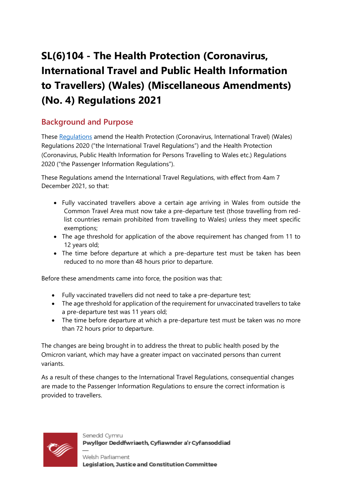# **SL(6)104 - The Health Protection (Coronavirus, International Travel and Public Health Information to Travellers) (Wales) (Miscellaneous Amendments) (No. 4) Regulations 2021**

## **Background and Purpose**

These [Regulations](https://business.senedd.wales/mgIssueHistoryHome.aspx?IId=38475) amend the Health Protection (Coronavirus, International Travel) (Wales) Regulations 2020 ("the International Travel Regulations") and the Health Protection (Coronavirus, Public Health Information for Persons Travelling to Wales etc.) Regulations 2020 ("the Passenger Information Regulations").

These Regulations amend the International Travel Regulations, with effect from 4am 7 December 2021, so that:

- Fully vaccinated travellers above a certain age arriving in Wales from outside the Common Travel Area must now take a pre-departure test (those travelling from redlist countries remain prohibited from travelling to Wales) unless they meet specific exemptions;
- The age threshold for application of the above requirement has changed from 11 to 12 years old;
- The time before departure at which a pre-departure test must be taken has been reduced to no more than 48 hours prior to departure.

Before these amendments came into force, the position was that:

- Fully vaccinated travellers did not need to take a pre-departure test;
- The age threshold for application of the requirement for unvaccinated travellers to take a pre-departure test was 11 years old;
- The time before departure at which a pre-departure test must be taken was no more than 72 hours prior to departure.

The changes are being brought in to address the threat to public health posed by the Omicron variant, which may have a greater impact on vaccinated persons than current variants.

As a result of these changes to the International Travel Regulations, consequential changes are made to the Passenger Information Regulations to ensure the correct information is provided to travellers.



Senedd Cymru Pwyllgor Deddfwriaeth, Cyfiawnder a'r Cyfansoddiad

Welsh Parliament Legislation, Justice and Constitution Committee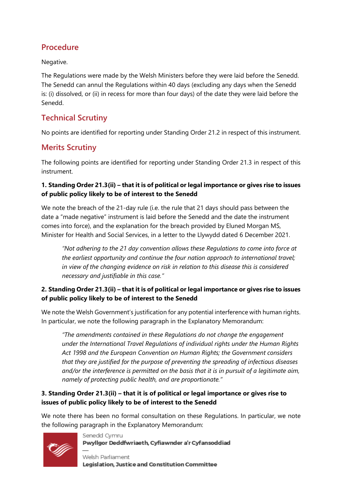# **Procedure**

Negative.

The Regulations were made by the Welsh Ministers before they were laid before the Senedd. The Senedd can annul the Regulations within 40 days (excluding any days when the Senedd is: (i) dissolved, or (ii) in recess for more than four days) of the date they were laid before the Senedd.

## **Technical Scrutiny**

No points are identified for reporting under Standing Order 21.2 in respect of this instrument.

## **Merits Scrutiny**

The following points are identified for reporting under Standing Order 21.3 in respect of this instrument.

#### **1. Standing Order 21.3(ii) – that it is of political or legal importance or gives rise to issues of public policy likely to be of interest to the Senedd**

We note the breach of the 21-day rule (i.e. the rule that 21 days should pass between the date a "made negative" instrument is laid before the Senedd and the date the instrument comes into force), and the explanation for the breach provided by Eluned Morgan MS, Minister for Health and Social Services, in a letter to the Llywydd dated 6 December 2021.

*"Not adhering to the 21 day convention allows these Regulations to come into force at the earliest opportunity and continue the four nation approach to international travel; in view of the changing evidence on risk in relation to this disease this is considered necessary and justifiable in this case."*

#### **2. Standing Order 21.3(ii) – that it is of political or legal importance or gives rise to issues of public policy likely to be of interest to the Senedd**

We note the Welsh Government's justification for any potential interference with human rights. In particular, we note the following paragraph in the Explanatory Memorandum:

*"The amendments contained in these Regulations do not change the engagement under the International Travel Regulations of individual rights under the Human Rights Act 1998 and the European Convention on Human Rights; the Government considers that they are justified for the purpose of preventing the spreading of infectious diseases and/or the interference is permitted on the basis that it is in pursuit of a legitimate aim, namely of protecting public health, and are proportionate."*

#### **3. Standing Order 21.3(ii) – that it is of political or legal importance or gives rise to issues of public policy likely to be of interest to the Senedd**

We note there has been no formal consultation on these Regulations. In particular, we note the following paragraph in the Explanatory Memorandum:



Senedd Cymru Pwyllgor Deddfwriaeth, Cyfiawnder a'r Cyfansoddiad

Welsh Parliament Legislation, Justice and Constitution Committee